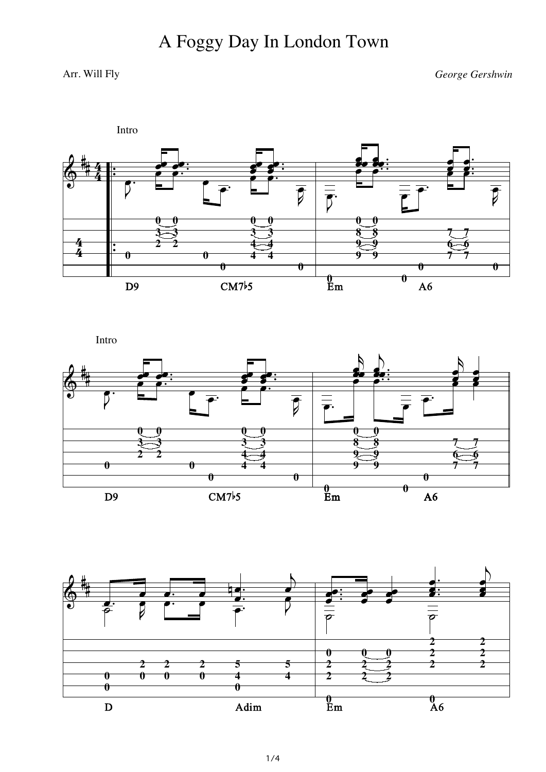## A Foggy Day In London Town

## Arr. Will Fly

George Gershwin



Intro



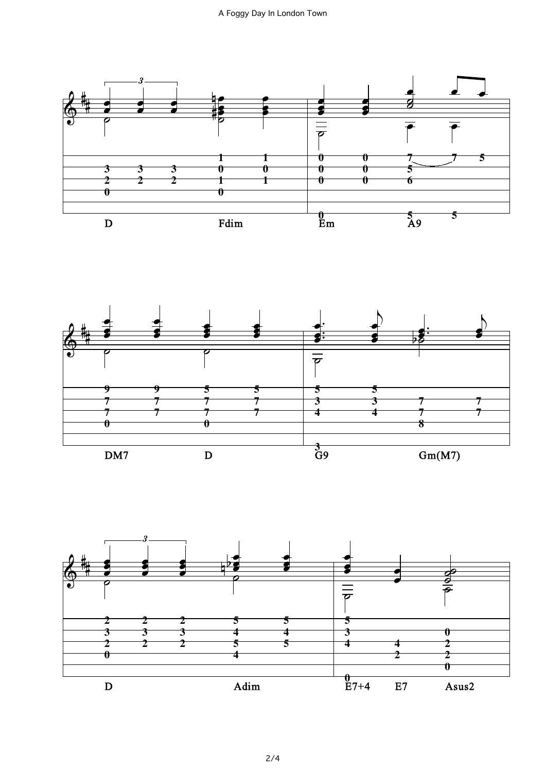



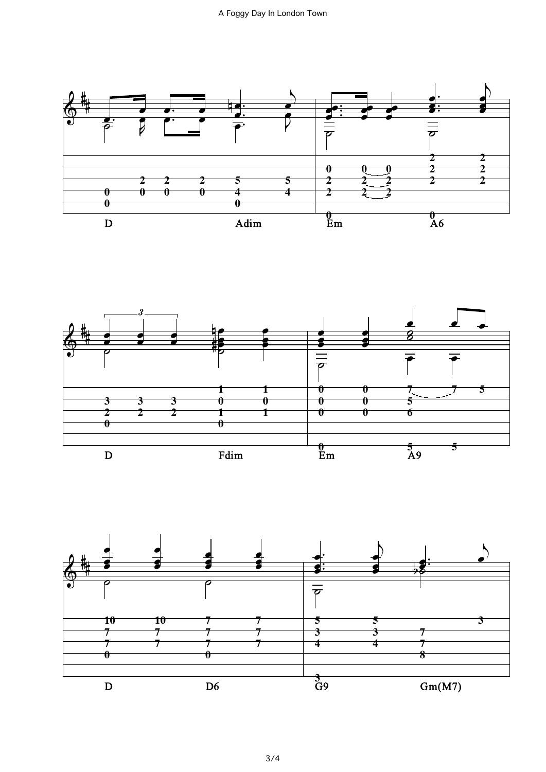